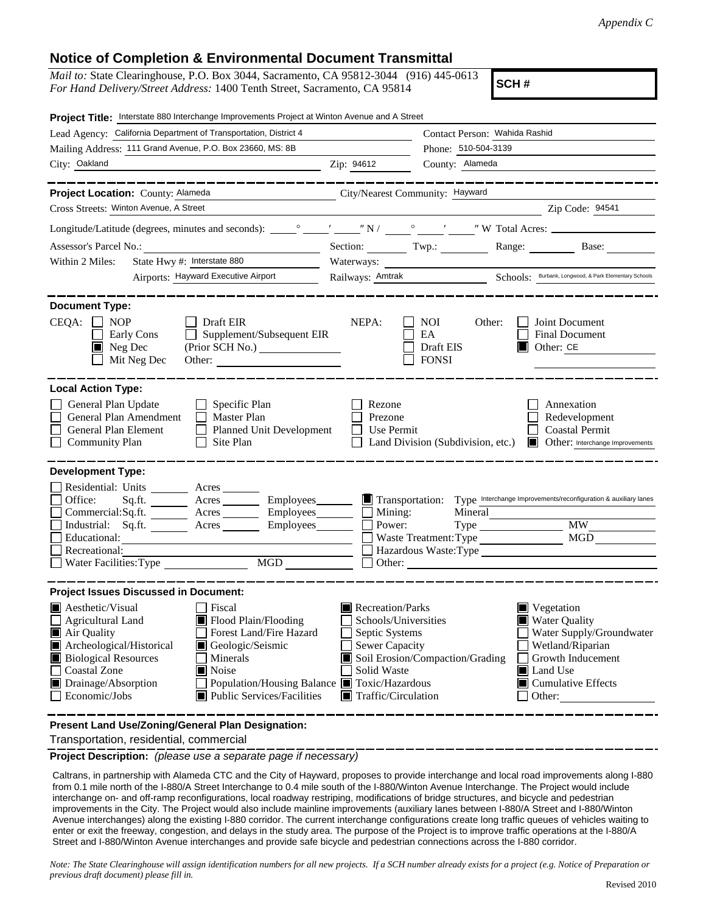## **Notice of Completion & Environmental Document Transmittal**

*Mail to:* State Clearinghouse, P.O. Box 3044, Sacramento, CA 95812-3044 (916) 445-0613 *For Hand Delivery/Street Address:* 1400 Tenth Street, Sacramento, CA 95814

**SCH #**

| Project Title: Interstate 880 Interchange Improvements Project at Winton Avenue and A Street                                                                                                                                                                                                                                                                                |                                                                                                                                                                                                                                                                                                                                                                  |  |
|-----------------------------------------------------------------------------------------------------------------------------------------------------------------------------------------------------------------------------------------------------------------------------------------------------------------------------------------------------------------------------|------------------------------------------------------------------------------------------------------------------------------------------------------------------------------------------------------------------------------------------------------------------------------------------------------------------------------------------------------------------|--|
| Lead Agency: California Department of Transportation, District 4                                                                                                                                                                                                                                                                                                            | Contact Person: Wahida Rashid                                                                                                                                                                                                                                                                                                                                    |  |
| Mailing Address: 111 Grand Avenue, P.O. Box 23660, MS: 8B                                                                                                                                                                                                                                                                                                                   | Phone: 510-504-3139                                                                                                                                                                                                                                                                                                                                              |  |
| City: Oakland<br><u> 1980 - Johann Barnett, fransk politik (</u>                                                                                                                                                                                                                                                                                                            | Zip: 94612<br>County: Alameda                                                                                                                                                                                                                                                                                                                                    |  |
| . __ __ __ __ __ __ __ __                                                                                                                                                                                                                                                                                                                                                   | . __ _ _ _ _ _ _ _ _ _ _ _ _ _ _                                                                                                                                                                                                                                                                                                                                 |  |
| Project Location: County: Alameda                                                                                                                                                                                                                                                                                                                                           | City/Nearest Community: Hayward                                                                                                                                                                                                                                                                                                                                  |  |
| Cross Streets: Winton Avenue, A Street                                                                                                                                                                                                                                                                                                                                      | Zip Code: 94541                                                                                                                                                                                                                                                                                                                                                  |  |
|                                                                                                                                                                                                                                                                                                                                                                             |                                                                                                                                                                                                                                                                                                                                                                  |  |
|                                                                                                                                                                                                                                                                                                                                                                             | Section: Twp.: Range: Base:                                                                                                                                                                                                                                                                                                                                      |  |
| State Hwy #: Interstate 880<br>Within 2 Miles:                                                                                                                                                                                                                                                                                                                              |                                                                                                                                                                                                                                                                                                                                                                  |  |
| Airports: Hayward Executive Airport                                                                                                                                                                                                                                                                                                                                         | Railways: <u>Amtrak</u> Schools: Burbank, Longwood, & Park Elementary Schools                                                                                                                                                                                                                                                                                    |  |
| <b>Document Type:</b>                                                                                                                                                                                                                                                                                                                                                       |                                                                                                                                                                                                                                                                                                                                                                  |  |
| $CEQA: \Box NOP$<br>Draft EIR<br>Supplement/Subsequent EIR<br>Early Cons<br>$\blacksquare$ Neg Dec<br>(Prior SCH No.)<br>Mit Neg Dec<br>Other:                                                                                                                                                                                                                              | NEPA:<br>NOI<br>Other:<br>Joint Document<br>EA<br><b>Final Document</b><br>Draft EIS<br>Other: CE<br>IШ<br><b>FONSI</b>                                                                                                                                                                                                                                          |  |
| <b>Local Action Type:</b><br>General Plan Update<br>$\Box$ Specific Plan<br>General Plan Amendment<br>$\Box$ Master Plan<br>General Plan Element<br>$\Box$ Planned Unit Development<br><b>Community Plan</b><br>Site Plan                                                                                                                                                   | Annexation<br>Rezone<br>Prezone<br>Redevelopment<br><b>Coastal Permit</b><br>Use Permit<br>Land Division (Subdivision, etc.) Cther: Interchange Improvements                                                                                                                                                                                                     |  |
| <b>Development Type:</b>                                                                                                                                                                                                                                                                                                                                                    |                                                                                                                                                                                                                                                                                                                                                                  |  |
| Residential: Units _________ Acres _______<br>Office:<br>Sq.fit.<br>Acres<br>Employees________<br>Acres __________ Employees________<br>Commercial:Sq.ft.<br>Industrial: Sq.ft.<br>Acres<br>Employees_______<br>Educational:<br>Recreational:<br>MGD<br>Water Facilities: Type                                                                                              | Type Interchange Improvements/reconfiguration & auxiliary lanes<br>Transportation:<br>$\Box$ Mining:<br>Mineral<br><b>MW</b><br>Power:<br>MGD<br>Waste Treatment: Type<br>Hazardous Waste: Type<br>$\Box$ Other: $\Box$                                                                                                                                          |  |
| <b>Project Issues Discussed in Document:</b>                                                                                                                                                                                                                                                                                                                                |                                                                                                                                                                                                                                                                                                                                                                  |  |
| Aesthetic/Visual<br>  Fiscal<br>Flood Plain/Flooding<br><b>Agricultural Land</b><br>Forest Land/Fire Hazard<br>Air Quality<br>Archeological/Historical<br>Geologic/Seismic<br><b>Biological Resources</b><br>Minerals<br><b>Coastal Zone</b><br>Noise<br>Drainage/Absorption<br>Population/Housing Balance ■ Toxic/Hazardous<br>Economic/Jobs<br>Public Services/Facilities | Recreation/Parks<br>$\blacksquare$ Vegetation<br><b>Water Quality</b><br>Schools/Universities<br>Septic Systems<br>Water Supply/Groundwater<br><b>Sewer Capacity</b><br>Wetland/Riparian<br>Soil Erosion/Compaction/Grading<br>Growth Inducement<br>Solid Waste<br>Land Use<br>$\blacksquare$ Cumulative Effects<br>$\blacksquare$ Traffic/Circulation<br>Other: |  |
| Present Land Use/Zoning/General Plan Designation:                                                                                                                                                                                                                                                                                                                           |                                                                                                                                                                                                                                                                                                                                                                  |  |

Transportation, residential, commercial

**Project Description:** *(please use a separate page if necessary)*

 Caltrans, in partnership with Alameda CTC and the City of Hayward, proposes to provide interchange and local road improvements along I-880 from 0.1 mile north of the I-880/A Street Interchange to 0.4 mile south of the I-880/Winton Avenue Interchange. The Project would include interchange on- and off-ramp reconfigurations, local roadway restriping, modifications of bridge structures, and bicycle and pedestrian improvements in the City. The Project would also include mainline improvements (auxiliary lanes between I-880/A Street and I-880/Winton Avenue interchanges) along the existing I-880 corridor. The current interchange configurations create long traffic queues of vehicles waiting to enter or exit the freeway, congestion, and delays in the study area. The purpose of the Project is to improve traffic operations at the I-880/A Street and I-880/Winton Avenue interchanges and provide safe bicycle and pedestrian connections across the I-880 corridor.

*Note: The State Clearinghouse will assign identification numbers for all new projects. If a SCH number already exists for a project (e.g. Notice of Preparation or previous draft document) please fill in.*